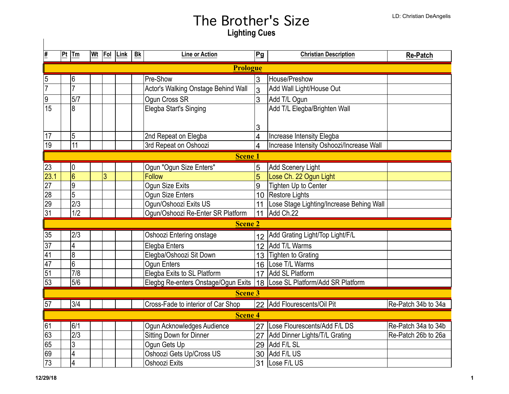| <u>#</u>        | Pt             | Tm               |  |   | Wt  Fol  Link | <b>Bk</b> | <b>Line or Action</b>               | Pg                      | <b>Christian Description</b>             | <b>Re-Patch</b>     |  |  |
|-----------------|----------------|------------------|--|---|---------------|-----------|-------------------------------------|-------------------------|------------------------------------------|---------------------|--|--|
|                 | Prologue       |                  |  |   |               |           |                                     |                         |                                          |                     |  |  |
| $\overline{5}$  |                | $6\,$            |  |   |               |           | Pre-Show                            | 3                       | House/Preshow                            |                     |  |  |
| $\overline{7}$  |                | $\overline{7}$   |  |   |               |           | Actor's Walking Onstage Behind Wall | 3                       | Add Wall Light/House Out                 |                     |  |  |
| 9               |                | 5/7              |  |   |               |           | Ogun Cross SR                       | 3                       | Add T/L Ogun                             |                     |  |  |
| $\overline{15}$ |                | $\overline{8}$   |  |   |               |           | Elegba Start's Singing              |                         | Add T/L Elegba/Brighten Wall             |                     |  |  |
|                 |                |                  |  |   |               |           |                                     |                         |                                          |                     |  |  |
|                 |                |                  |  |   |               |           |                                     | 3                       |                                          |                     |  |  |
| 17              |                | $\overline{5}$   |  |   |               |           | 2nd Repeat on Elegba                | 4                       | Increase Intensity Elegba                |                     |  |  |
| 19              |                | $\overline{11}$  |  |   |               |           | 3rd Repeat on Oshoozi               | $\overline{\mathbf{4}}$ | Increase Intensity Oshoozi/Increase Wall |                     |  |  |
|                 |                |                  |  |   |               |           | <b>Scene 1</b>                      |                         |                                          |                     |  |  |
| 23              |                | $\vert 0 \vert$  |  |   |               |           | Ogun "Ogun Size Enters"             | 5                       | <b>Add Scenery Light</b>                 |                     |  |  |
| 23.1            |                | $\overline{6}$   |  | 3 |               |           | <b>Follow</b>                       | 5                       | Lose Ch. 22 Ogun Light                   |                     |  |  |
| $\overline{27}$ |                | $\overline{9}$   |  |   |               |           | Ogun Size Exits                     | 9                       | Tighten Up to Center                     |                     |  |  |
| 28              |                | $\overline{5}$   |  |   |               |           | Ogun Size Enters                    |                         | 10 Restore Lights                        |                     |  |  |
| 29              |                | $\overline{2/3}$ |  |   |               |           | Ogun/Oshoozi Exits US               | 11                      | Lose Stage Lighting/Increase Behing Wall |                     |  |  |
| $\overline{31}$ |                | $\overline{1/2}$ |  |   |               |           | Ogun/Oshoozi Re-Enter SR Platform   | 11                      | Add Ch.22                                |                     |  |  |
|                 |                |                  |  |   |               |           | <b>Scene 2</b>                      |                         |                                          |                     |  |  |
| 35              |                | 2/3              |  |   |               |           | Oshoozi Entering onstage            | 12 <sup>2</sup>         | Add Grating Light/Top Light/F/L          |                     |  |  |
| 37              |                | $\overline{4}$   |  |   |               |           | Elegba Enters                       |                         | 12 Add T/L Warms                         |                     |  |  |
| $\overline{41}$ |                | $\overline{8}$   |  |   |               |           | Elegba/Oshoozi Sit Down             | 13 <sup>13</sup>        | <b>Tighten to Grating</b>                |                     |  |  |
| 47              |                | $\overline{6}$   |  |   |               |           | Ogun Enters                         |                         | 16 Lose T/L Warms                        |                     |  |  |
| $\overline{51}$ |                | 7/8              |  |   |               |           | Elegba Exits to SL Platform         |                         | 17 Add SL Platform                       |                     |  |  |
| 53              |                | 5/6              |  |   |               |           | Elegbg Re-enters Onstage/Ogun Exits |                         | 18 Lose SL Platform/Add SR Platform      |                     |  |  |
|                 | <b>Scene 3</b> |                  |  |   |               |           |                                     |                         |                                          |                     |  |  |
| 57              |                | 3/4              |  |   |               |           | Cross-Fade to interior of Car Shop  |                         | 22 Add Flourescents/Oil Pit              | Re-Patch 34b to 34a |  |  |
|                 | <b>Scene 4</b> |                  |  |   |               |           |                                     |                         |                                          |                     |  |  |
| 61              |                | 6/1              |  |   |               |           | Ogun Acknowledges Audience          |                         | 27 Lose Flourescents/Add F/L DS          | Re-Patch 34a to 34b |  |  |
| 63              |                | $\overline{2/3}$ |  |   |               |           | Sitting Down for Dinner             | 27                      | Add Dinner Lights/T/L Grating            | Re-Patch 26b to 26a |  |  |
| 65              |                | $\overline{3}$   |  |   |               |           | Ogun Gets Up                        |                         | 29 Add F/L SL                            |                     |  |  |
| 69              |                | $\overline{4}$   |  |   |               |           | Oshoozi Gets Up/Cross US            |                         | 30 Add F/L US                            |                     |  |  |
| $\overline{73}$ |                | $\overline{4}$   |  |   |               |           | Oshoozi Exits                       | 31                      | Lose F/L US                              |                     |  |  |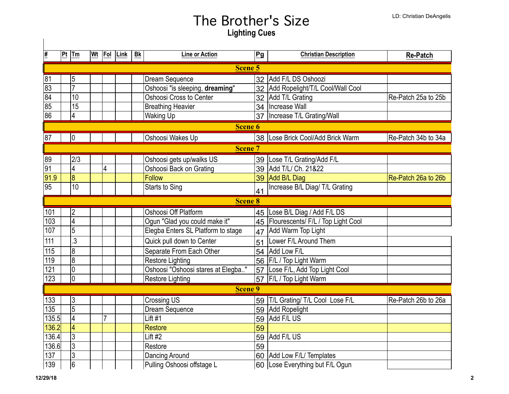| #                |                | $ Pt $ Tm       |  | Wt Fol | Link | <b>Bk</b> | <b>Line or Action</b>              | Pg | <b>Christian Description</b>        | <b>Re-Patch</b>     |
|------------------|----------------|-----------------|--|--------|------|-----------|------------------------------------|----|-------------------------------------|---------------------|
|                  | Scene 5        |                 |  |        |      |           |                                    |    |                                     |                     |
| 81               |                | 5               |  |        |      |           | Dream Sequence                     | 32 | Add F/L DS Oshoozi                  |                     |
| $\overline{83}$  |                | 7               |  |        |      |           | Oshoosi "is sleeping, dreaming"    |    | 32 Add Ropelight/T/L Cool/Wall Cool |                     |
| $\overline{84}$  |                | $\overline{10}$ |  |        |      |           | Oshoosi Cross to Center            |    | 32 Add T/L Grating                  | Re-Patch 25a to 25b |
| 85               |                | $\overline{15}$ |  |        |      |           | <b>Breathing Heavier</b>           |    | 34   Increase Wall                  |                     |
| $\overline{86}$  |                | 4               |  |        |      |           | <b>Waking Up</b>                   | 37 | Increase T/L Grating/Wall           |                     |
|                  | <b>Scene 6</b> |                 |  |        |      |           |                                    |    |                                     |                     |
| 87               |                | lo              |  |        |      |           | Oshoosi Wakes Up                   |    | 38 Lose Brick Cool/Add Brick Warm   | Re-Patch 34b to 34a |
|                  | <b>Scene 7</b> |                 |  |        |      |           |                                    |    |                                     |                     |
| 89               |                | 2/3             |  |        |      |           | Oshoosi gets up/walks US           |    | 39 Lose T/L Grating/Add F/L         |                     |
| $\overline{91}$  |                | $\overline{4}$  |  | 4      |      |           | Oshoosi Back on Grating            |    | 39   Add T/L/ Ch. 21&22             |                     |
| 91.9             |                | $\overline{8}$  |  |        |      |           | <b>Follow</b>                      | 39 | Add B/L Diag                        | Re-Patch 26a to 26b |
| 95               |                | $\overline{10}$ |  |        |      |           | <b>Starts to Sing</b>              | 41 | Increase B/L Diag/ T/L Grating      |                     |
|                  | <b>Scene 8</b> |                 |  |        |      |           |                                    |    |                                     |                     |
| 101              |                | $\overline{2}$  |  |        |      |           | Oshoosi Off Platform               |    | 45 Lose B/L Diag / Add F/L DS       |                     |
| 103              |                | $\overline{4}$  |  |        |      |           | Ogun "Glad you could make it"      | 45 | Flourescents/ F/L / Top Light Cool  |                     |
| 107              |                | $\overline{5}$  |  |        |      |           | Elegba Enters SL Platform to stage | 47 | Add Warm Top Light                  |                     |
| 111              |                | $\overline{3}$  |  |        |      |           | Quick pull down to Center          | 51 | Lower F/L Around Them               |                     |
| 115              |                | 8               |  |        |      |           | Separate From Each Other           | 54 | Add Low F/L                         |                     |
| 119              |                | $\overline{8}$  |  |        |      |           | Restore Lighting                   | 56 | <b>F/L / Top Light Warm</b>         |                     |
| 121              |                | 0               |  |        |      |           | Oshoosi "Oshoosi stares at Elegba" |    | 57 Lose F/L, Add Top Light Cool     |                     |
| $\overline{123}$ |                | $\overline{0}$  |  |        |      |           | Restore Lighting                   |    | 57 F/L / Top Light Warm             |                     |
|                  |                |                 |  |        |      |           | Scene 9                            |    |                                     |                     |
| 133              |                | 3               |  |        |      |           | <b>Crossing US</b>                 |    | 59 T/L Grating/ T/L Cool Lose F/L   | Re-Patch 26b to 26a |
| $\overline{135}$ |                | $\overline{5}$  |  |        |      |           | Dream Sequence                     |    | 59 Add Ropelight                    |                     |
| 135.5            |                | $\overline{4}$  |  | 7      |      |           | Lift $#1$                          | 59 | Add F/L US                          |                     |
| 136.2            |                | 4               |  |        |      |           | <b>Restore</b>                     | 59 |                                     |                     |
| 136.4            |                | $\overline{3}$  |  |        |      |           | Lift #2                            | 59 | Add F/L US                          |                     |
| 136.6            |                | $\overline{3}$  |  |        |      |           | Restore                            | 59 |                                     |                     |
| 137              |                | $\overline{3}$  |  |        |      |           | Dancing Around                     | 60 | Add Low F/L/ Templates              |                     |
| 139              |                | $\overline{6}$  |  |        |      |           | Pulling Oshoosi offstage L         |    | 60 Lose Everything but F/L Ogun     |                     |

 $\overline{\phantom{a}}$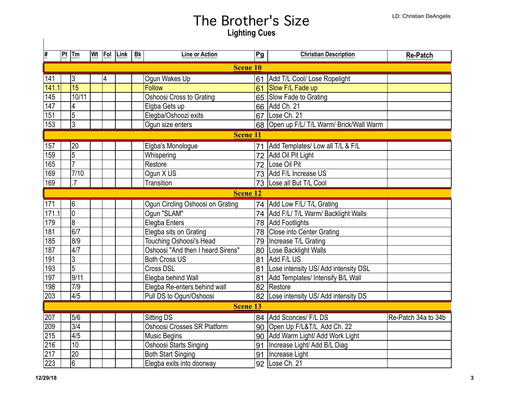| #                | Pt              | Tm              | Wt Fol |   | Link | Bk | <b>Line or Action</b>             | Pg | <b>Christian Description</b>              | <b>Re-Patch</b>     |  |
|------------------|-----------------|-----------------|--------|---|------|----|-----------------------------------|----|-------------------------------------------|---------------------|--|
|                  | <b>Scene 10</b> |                 |        |   |      |    |                                   |    |                                           |                     |  |
| 141              |                 | $\overline{3}$  |        | 4 |      |    | Ogun Wakes Up                     | 61 | Add T/L Cool/ Lose Ropelight              |                     |  |
| 141.1            |                 | 15              |        |   |      |    | <b>Follow</b>                     |    | 61 Slow F/L Fade up                       |                     |  |
| 145              |                 | 10/11           |        |   |      |    | Oshoosi Cross to Grating          |    | 65 Slow Fade to Grating                   |                     |  |
| 147              |                 | $\overline{4}$  |        |   |      |    | Elgba Gets up                     |    | 66 Add Ch. 21                             |                     |  |
| 151              |                 | $\overline{5}$  |        |   |      |    | Elegba/Oshoozi exits              | 67 | Lose Ch. 21                               |                     |  |
| 153              |                 | $\overline{3}$  |        |   |      |    | Ogun size enters                  |    | 68 Open up F/L/ T/L Warm/ Brick/Wall Warm |                     |  |
|                  | <b>Scene 11</b> |                 |        |   |      |    |                                   |    |                                           |                     |  |
| 157              |                 | 20              |        |   |      |    | Elgba's Monologue                 | 71 | Add Templates/ Low all T/L & F/L          |                     |  |
| 159              |                 | $\overline{5}$  |        |   |      |    | Whispering                        | 72 | Add Oil Pit Light                         |                     |  |
| 165              |                 | $\overline{7}$  |        |   |      |    | Restore                           | 72 | Lose Oil Pit                              |                     |  |
| 169              |                 | $7/10$          |        |   |      |    | Ogun X US                         |    | 73 Add F/L Increase US                    |                     |  |
| 169              |                 | $\overline{7}$  |        |   |      |    | Transition                        |    | 73 Lose all But T/L Cool                  |                     |  |
|                  | <b>Scene 12</b> |                 |        |   |      |    |                                   |    |                                           |                     |  |
| 171              |                 | 6               |        |   |      |    | Ogun Circling Oshoosi on Grating  |    | 74 Add Low F/L/ T/L Grating               |                     |  |
| 171.1            |                 | $\overline{0}$  |        |   |      |    | Ogun "SLAM"                       |    | 74   Add F/L/ T/L Warm/ Backlight Walls   |                     |  |
| 179              |                 | $\overline{8}$  |        |   |      |    | Elegba Enters                     |    | 78 Add Footlights                         |                     |  |
| 181              |                 | 6/7             |        |   |      |    | Elegba sits on Grating            |    | 78 Close into Center Grating              |                     |  |
| 185              |                 | 8/9             |        |   |      |    | <b>Touching Oshoosi's Head</b>    |    | 79   Increase T/L Grating                 |                     |  |
| 187              |                 | 4/7             |        |   |      |    | Oshoosi "And then I heard Sirens" |    | 80 Lose Backlight Walls                   |                     |  |
| 191              |                 | $\overline{3}$  |        |   |      |    | <b>Both Cross US</b>              |    | 81 Add F/L US                             |                     |  |
| 193              |                 | $\overline{5}$  |        |   |      |    | Cross DSL                         |    | 81 Lose intensity US/ Add intensity DSL   |                     |  |
| 197              |                 | 9/11            |        |   |      |    | Elegba behind Wall                |    | 81 Add Templates/ Intensify B/L Wall      |                     |  |
| 198              |                 | 7/9             |        |   |      |    | Elegba Re-enters behind wall      |    | 82 Restore                                |                     |  |
| $\overline{203}$ |                 | 4/5             |        |   |      |    | Pull DS to Ogun/Oshoosi           |    | 82 Lose intensity US/Add intensity DS     |                     |  |
|                  | <b>Scene 13</b> |                 |        |   |      |    |                                   |    |                                           |                     |  |
| 207              |                 | 5/6             |        |   |      |    | <b>Sitting DS</b>                 |    | 84 Add Sconces/ F/L DS                    | Re-Patch 34a to 34b |  |
| 209              |                 | 3/4             |        |   |      |    | Oshoosi Crosses SR Platform       |    | 90 Open Up F/L&T/L Add Ch. 22             |                     |  |
| 215              |                 | 4/5             |        |   |      |    | <b>Music Begins</b>               |    | 90 Add Warm Light/ Add Work Light         |                     |  |
| $\overline{216}$ |                 | $\overline{10}$ |        |   |      |    | Oshoosi Starts Singing            | 91 | Increase Light/ Add B/L Diag              |                     |  |
| 217              |                 | $\overline{20}$ |        |   |      |    | <b>Both Start Singing</b>         | 91 | Increase Light                            |                     |  |
| 223              |                 | $6\phantom{.}6$ |        |   |      |    | Elegba exits into doorway         |    | 92 Lose Ch. 21                            |                     |  |